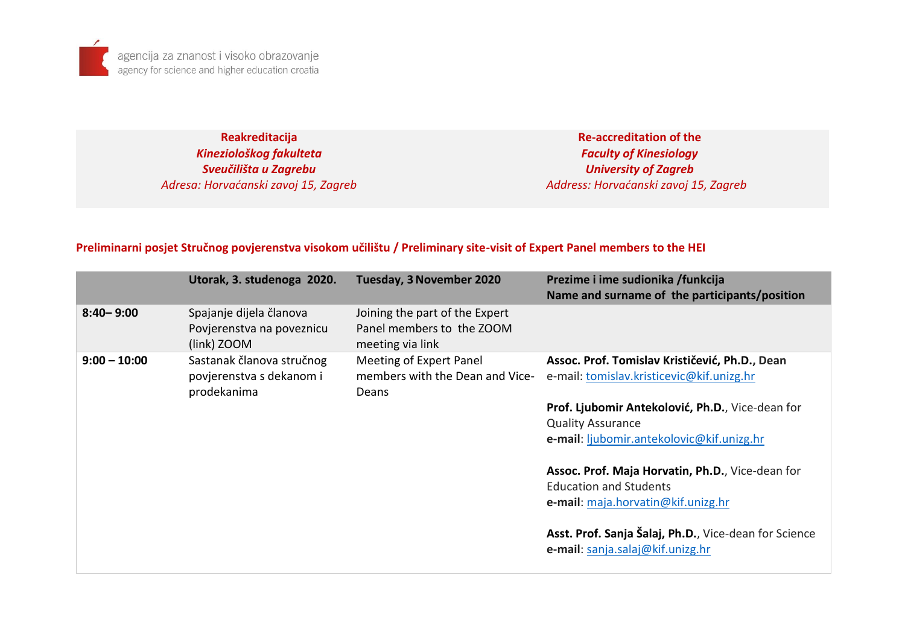**Reakreditacija** *Kineziološkog fakulteta Sveučilišta u Zagrebu Adresa: Horvaćanski zavoj 15, Zagreb*

**Re-accreditation of the** *Faculty of Kinesiology University of Zagreb Address: Horvaćanski zavoj 15, Zagreb*

## **Preliminarni posjet Stručnog povjerenstva visokom učilištu / Preliminary site-visit of Expert Panel members to the HEI**

|                | Utorak, 3. studenoga 2020.                                           | <b>Tuesday, 3 November 2020</b>                                                 | Prezime i ime sudionika /funkcija<br>Name and surname of the participants/position          |
|----------------|----------------------------------------------------------------------|---------------------------------------------------------------------------------|---------------------------------------------------------------------------------------------|
| $8:40 - 9:00$  | Spajanje dijela članova<br>Povjerenstva na poveznicu<br>(link) ZOOM  | Joining the part of the Expert<br>Panel members to the ZOOM<br>meeting via link |                                                                                             |
| $9:00 - 10:00$ | Sastanak članova stručnog<br>povjerenstva s dekanom i<br>prodekanima | Meeting of Expert Panel<br>members with the Dean and Vice-<br>Deans             | Assoc. Prof. Tomislav Krističević, Ph.D., Dean<br>e-mail: tomislav.kristicevic@kif.unizg.hr |
|                |                                                                      |                                                                                 | Prof. Ljubomir Antekolović, Ph.D., Vice-dean for                                            |
|                |                                                                      |                                                                                 | <b>Quality Assurance</b>                                                                    |
|                |                                                                      |                                                                                 | e-mail: ljubomir.antekolovic@kif.unizg.hr                                                   |
|                |                                                                      |                                                                                 | Assoc. Prof. Maja Horvatin, Ph.D., Vice-dean for                                            |
|                |                                                                      |                                                                                 | <b>Education and Students</b>                                                               |
|                |                                                                      |                                                                                 | e-mail: maja.horvatin@kif.unizg.hr                                                          |
|                |                                                                      |                                                                                 | Asst. Prof. Sanja Šalaj, Ph.D., Vice-dean for Science<br>e-mail: sanja.salaj@kif.unizg.hr   |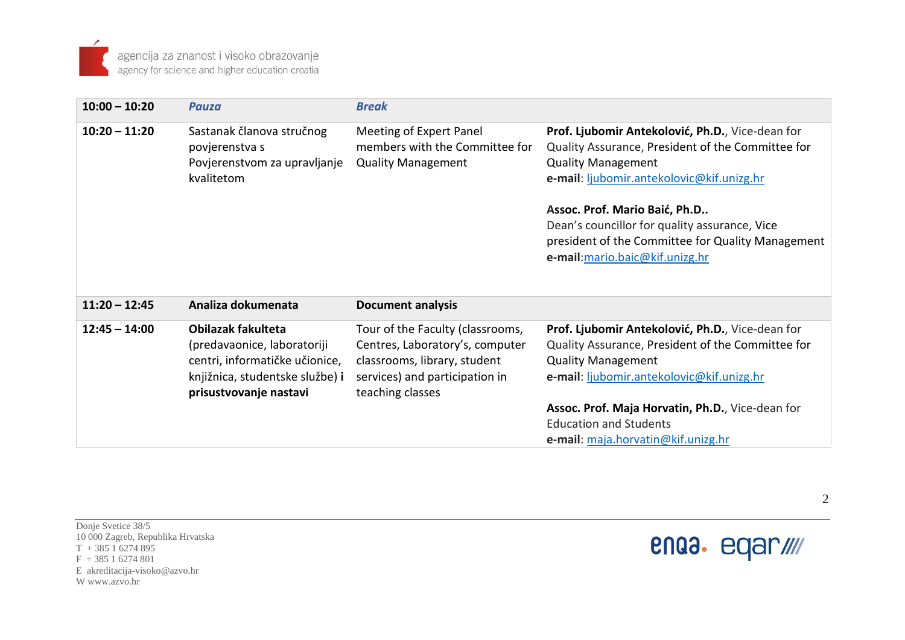| $10:00 - 10:20$ | <b>Pauza</b>                                                                                                                                     | <b>Break</b>                                                                                                                                              |                                                                                                                                                                                                                                                                                                                                                           |
|-----------------|--------------------------------------------------------------------------------------------------------------------------------------------------|-----------------------------------------------------------------------------------------------------------------------------------------------------------|-----------------------------------------------------------------------------------------------------------------------------------------------------------------------------------------------------------------------------------------------------------------------------------------------------------------------------------------------------------|
| $10:20 - 11:20$ | Sastanak članova stručnog<br>povjerenstva s<br>Povjerenstvom za upravljanje<br>kvalitetom                                                        | Meeting of Expert Panel<br>members with the Committee for<br><b>Quality Management</b>                                                                    | Prof. Ljubomir Antekolović, Ph.D., Vice-dean for<br>Quality Assurance, President of the Committee for<br><b>Quality Management</b><br>e-mail: ljubomir.antekolovic@kif.unizg.hr<br>Assoc. Prof. Mario Baić, Ph.D<br>Dean's councillor for quality assurance, Vice<br>president of the Committee for Quality Management<br>e-mail: mario.baic@kif.unizg.hr |
| $11:20 - 12:45$ | Analiza dokumenata                                                                                                                               | <b>Document analysis</b>                                                                                                                                  |                                                                                                                                                                                                                                                                                                                                                           |
| $12:45 - 14:00$ | Obilazak fakulteta<br>(predavaonice, laboratoriji<br>centri, informatičke učionice,<br>knjižnica, studentske službe) i<br>prisustvovanje nastavi | Tour of the Faculty (classrooms,<br>Centres, Laboratory's, computer<br>classrooms, library, student<br>services) and participation in<br>teaching classes | Prof. Ljubomir Antekolović, Ph.D., Vice-dean for<br>Quality Assurance, President of the Committee for<br><b>Quality Management</b><br>e-mail: ljubomir.antekolovic@kif.unizg.hr<br>Assoc. Prof. Maja Horvatin, Ph.D., Vice-dean for<br><b>Education and Students</b><br>e-mail: maja.horvatin@kif.unizg.hr                                                |

enaa. eqar///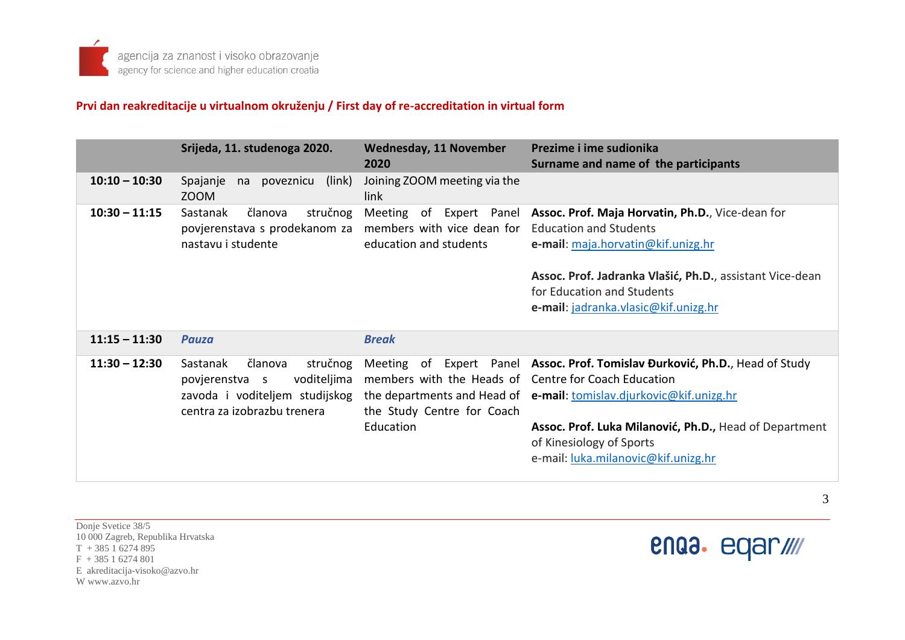#### **Prvi dan reakreditacije u virtualnom okruženju / First day of re-accreditation in virtual form**

|                 | Srijeda, 11. studenoga 2020.                                                                                                      | <b>Wednesday, 11 November</b><br>2020                                                                      | Prezime i ime sudionika<br>Surname and name of the participants                                                                                                                                                                                                          |
|-----------------|-----------------------------------------------------------------------------------------------------------------------------------|------------------------------------------------------------------------------------------------------------|--------------------------------------------------------------------------------------------------------------------------------------------------------------------------------------------------------------------------------------------------------------------------|
| $10:10 - 10:30$ | Spajanje<br>poveznicu<br>(link)<br>na<br>ZOOM                                                                                     | Joining ZOOM meeting via the<br>link                                                                       |                                                                                                                                                                                                                                                                          |
| $10:30 - 11:15$ | Sastanak<br>stručnog<br>članova<br>povjerenstava s prodekanom za<br>nastavu i studente                                            | Meeting<br>of Expert Panel<br>members with vice dean for<br>education and students                         | Assoc. Prof. Maja Horvatin, Ph.D., Vice-dean for<br><b>Education and Students</b><br>e-mail: maja.horvatin@kif.unizg.hr<br>Assoc. Prof. Jadranka Vlašić, Ph.D., assistant Vice-dean<br>for Education and Students<br>e-mail: jadranka.vlasic@kif.unizg.hr                |
| $11:15 - 11:30$ | <b>Pauza</b>                                                                                                                      | <b>Break</b>                                                                                               |                                                                                                                                                                                                                                                                          |
| $11:30 - 12:30$ | članova<br>Sastanak<br>stručnog<br>voditeljima<br>povjerenstva s<br>zavoda i voditeljem studijskog<br>centra za izobrazbu trenera | Meeting<br>members with the Heads of Centre for Coach Education<br>the Study Centre for Coach<br>Education | of Expert Panel Assoc. Prof. Tomislav Đurković, Ph.D., Head of Study<br>the departments and Head of e-mail: tomislay.djurkovic@kif.unizg.hr<br>Assoc. Prof. Luka Milanović, Ph.D., Head of Department<br>of Kinesiology of Sports<br>e-mail: luka.milanovic@kif.unizg.hr |

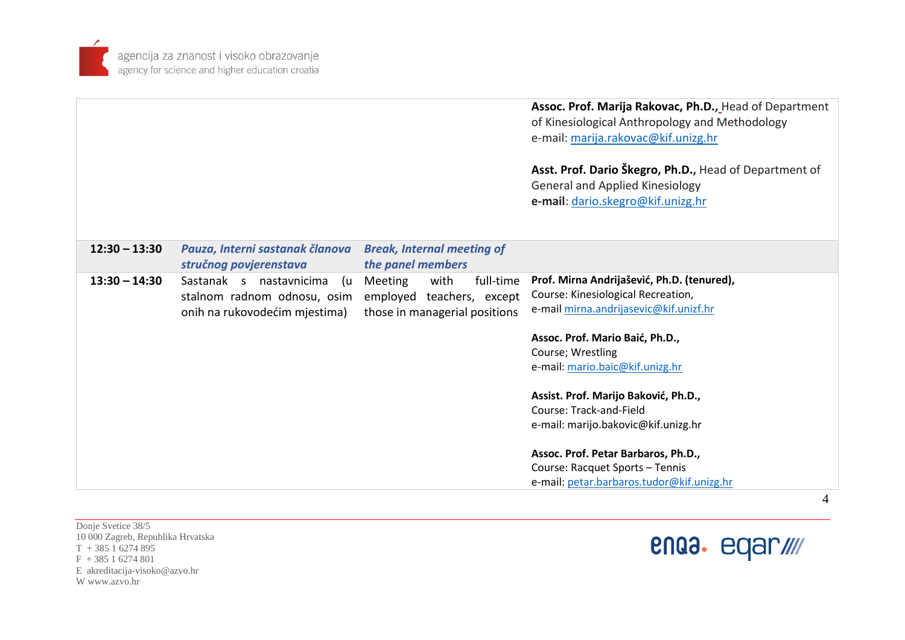

|                 |                                 |                                   | Assoc. Prof. Marija Rakovac, Ph.D., Head of Department<br>of Kinesiological Anthropology and Methodology |
|-----------------|---------------------------------|-----------------------------------|----------------------------------------------------------------------------------------------------------|
|                 |                                 |                                   | e-mail: marija.rakovac@kif.unizg.hr                                                                      |
|                 |                                 |                                   |                                                                                                          |
|                 |                                 |                                   | Asst. Prof. Dario Škegro, Ph.D., Head of Department of                                                   |
|                 |                                 |                                   | <b>General and Applied Kinesiology</b>                                                                   |
|                 |                                 |                                   | e-mail: dario.skegro@kif.unizg.hr                                                                        |
|                 |                                 |                                   |                                                                                                          |
|                 |                                 |                                   |                                                                                                          |
| $12:30 - 13:30$ | Pauza, Interni sastanak članova | <b>Break, Internal meeting of</b> |                                                                                                          |
|                 | stručnog povjerenstava          | the panel members                 |                                                                                                          |
| $13:30 - 14:30$ | Sastanak s nastavnicima<br>(u   | with<br>full-time<br>Meeting      | Prof. Mirna Andrijašević, Ph.D. (tenured),                                                               |
|                 | stalnom radnom odnosu, osim     | employed teachers, except         | Course: Kinesiological Recreation,                                                                       |
|                 | onih na rukovodećim mjestima)   | those in managerial positions     | e-mail mirna.andrijasevic@kif.unizf.hr                                                                   |
|                 |                                 |                                   | Assoc. Prof. Mario Baić, Ph.D.,                                                                          |
|                 |                                 |                                   | Course; Wrestling                                                                                        |
|                 |                                 |                                   | e-mail: mario.baic@kif.unizg.hr                                                                          |
|                 |                                 |                                   | Assist. Prof. Marijo Baković, Ph.D.,                                                                     |
|                 |                                 |                                   | Course: Track-and-Field                                                                                  |
|                 |                                 |                                   | e-mail: marijo.bakovic@kif.unizg.hr                                                                      |
|                 |                                 |                                   |                                                                                                          |
|                 |                                 |                                   | Assoc. Prof. Petar Barbaros, Ph.D.,                                                                      |
|                 |                                 |                                   | Course: Racquet Sports - Tennis                                                                          |
|                 |                                 |                                   | e-mail: petar.barbaros.tudor@kif.unizg.hr                                                                |

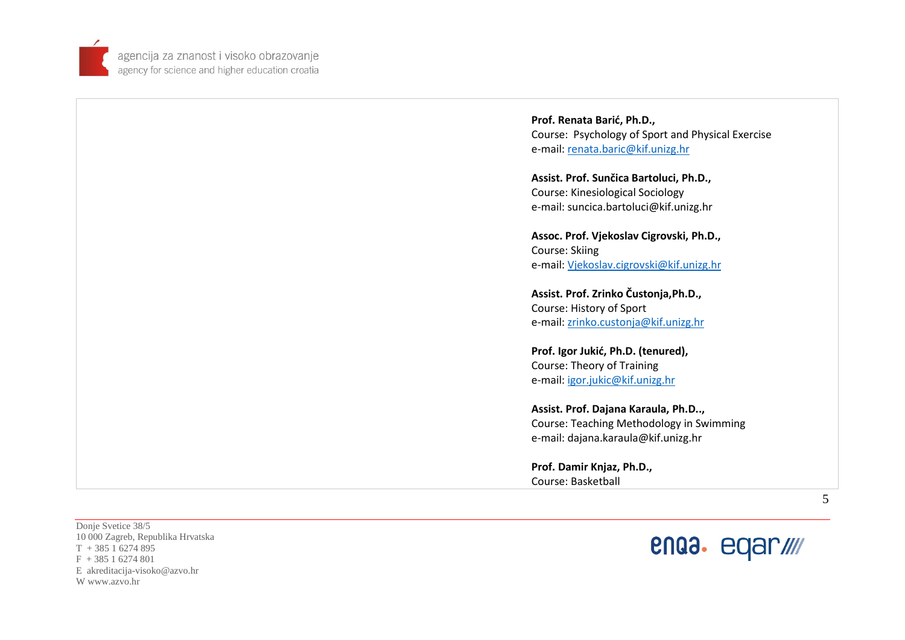

> **Prof. Renata Barić, Ph.D. ,** Course: Psychology of Sport and Physical Exercise e-mail: [renata.baric@kif.unizg.hr](mailto:renata.baric@kif.unizg.hr)

**Assist. Prof. Sunčica Bartoluci, Ph.D.,**  Course: Kinesiological Sociology e-mail: suncica.bartoluci@kif.unizg.hr

**Assoc. Prof. Vjekoslav Cigrovski, Ph.D.,**  Course: Skiing e-mail: [Vjekoslav.cigrovski@kif.unizg.hr](mailto:Vjekoslav.cigrovski@kif.unizg.hr) 

**Assist. Prof. Zrinko Čustonja,Ph.D.,**  Course: History of Sport<br>e-mail: [zrinko.custonja@kif.unizg.hr](mailto:zrinko.custonja@kif.unizg.hr)

**Prof. Igor Jukić, Ph.D. (tenured) ,** Course: Theory of Training<br>e-mail: [igor.jukic@kif.unizg.hr](mailto:igor.jukic@kif.unizg.hr)

**Assist. Prof. Dajana Karaula, Ph.D..,** Course: Teaching Methodology in Swimming e-mail: dajana.karaula@kif.unizg.hr

**Prof. Damir Knjaz, Ph.D. ,** Course: Basketball

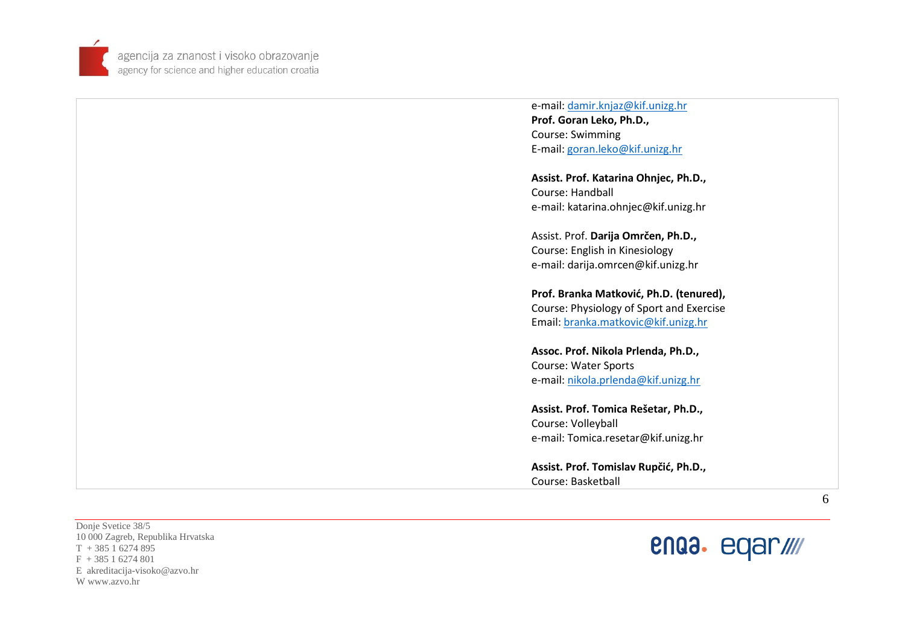

> e -mail: [damir.knjaz@kif.unizg.hr](mailto:damir.knjaz@kif.unizg.hr) **Prof. Goran Leko, Ph.D.,**  Course: Swimming E-mail[: goran.leko@kif.unizg.hr](mailto:goran.leko@kif.unizg.hr)

**Assist. Prof. Katarina Ohnjec, Ph.D.,**  Course: Handball e-mail: katarina.ohnjec@kif.unizg.hr

Assist. Prof. **Darija Omrčen, Ph.D.,**  Course: English in Kinesiology e-mail: darija.omrcen@kif.unizg.hr

**Prof. Branka Matković, Ph.D. (tenured),**  Course: Physiology of Sport and Exercise Email[: branka.matkovic@kif.unizg.hr](mailto:branka.matkovic@kif.unizg.hr)

**Assoc. Prof. Nikola Prlenda, Ph.D. ,** Course: Water Sports<br>e-mail: [nikola.prlenda@kif.unizg.hr](mailto:nikola.prlenda@kif.unizg.hr)

**Assist. Prof. Tomica Rešetar, Ph.D.,** Course: Volleyball e-mail: Tomica.resetar@kif.unizg.hr

**Assist. Prof. Tomislav Rupčić, Ph.D.,** Course: Basketball

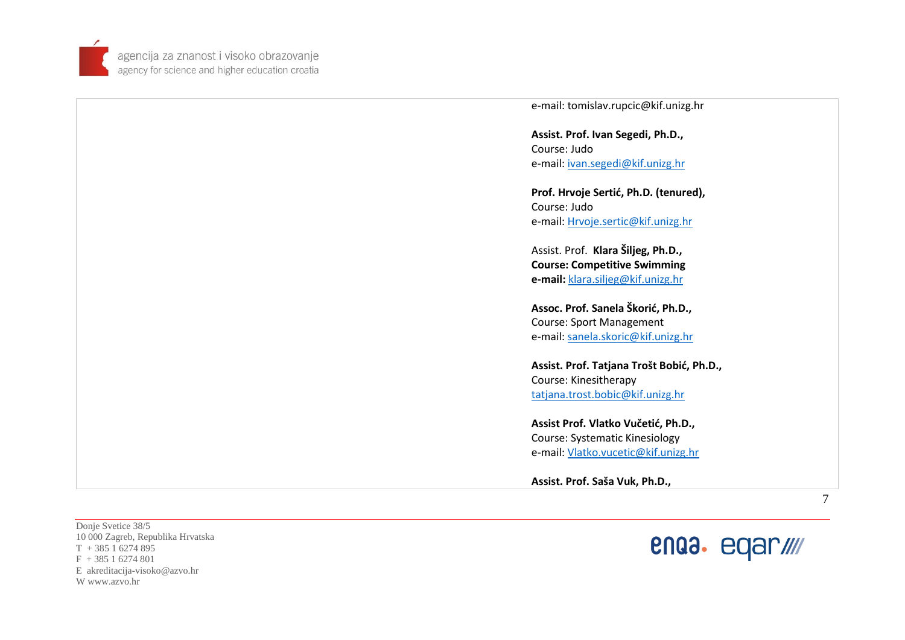

> **Assist. Prof. Ivan Segedi, Ph.D.,**  Course: Judo e-mail: [ivan.segedi@kif.unizg.hr](mailto:ivan.segedi@kif.unizg.hr) **Prof. Hrvoje Sertić, Ph.D. (tenured),** Course: Judo e-mail: [Hrvoje.sertic@kif.unizg.hr](mailto:Hrvoje.sertic@kif.unizg.hr) Assist. Prof. **Klara Šiljeg, Ph.D., Course: Competitive Swimming e-mail:** [klara.siljeg@kif.unizg.hr](mailto:klara.siljeg@kif.unizg.hr) **Assoc. Prof. Sanela Škorić, Ph.D.,** Course: Sport Management e-mail: [sanela.skoric@kif.unizg.hr](mailto:sanela.skoric@kif.unizg.hr)  **Assist. Prof. Ta tjana Trošt Bobić, Ph.D. ,** Course: Kinesitherapy [tatjana.trost.bobic@kif.unizg.hr](mailto:tatjana.trost.bobic@kif.unizg.hr)  **Assist Prof. Vlatko Vučetić, Ph.D.,** Course: Systematic Kinesiology e-mail: [Vlatko.vucetic@kif.unizg.hr](mailto:Vlatko.vucetic@kif.unizg.hr)

> > **Assist. Prof. Saša Vuk, Ph.D.,**

e -mail: tomislav.rupcic@kif.unizg.hr

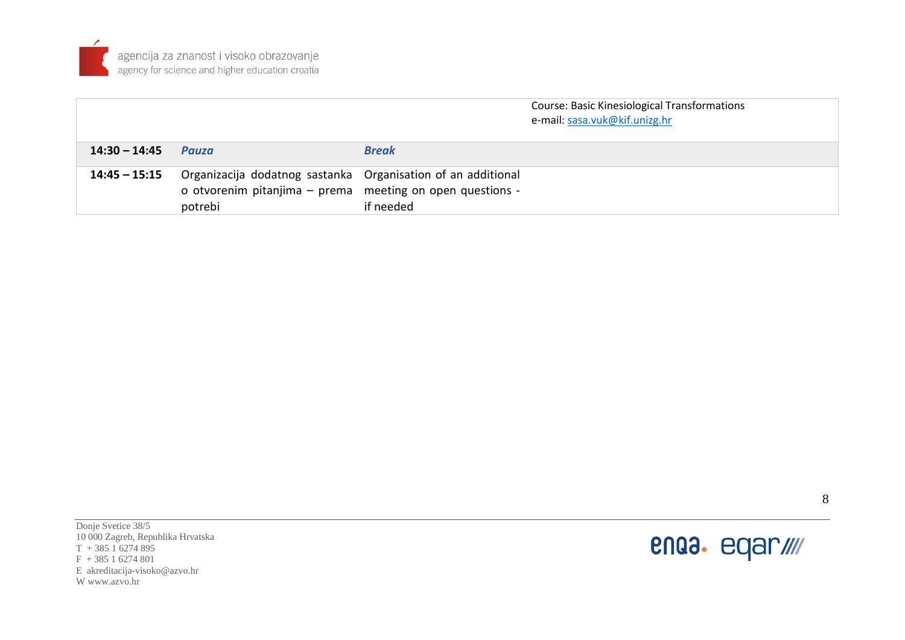

|                 |                                                                                                                                      |              | <b>Course: Basic Kinesiological Transformations</b><br>e-mail: sasa.vuk@kif.unizg.hr |
|-----------------|--------------------------------------------------------------------------------------------------------------------------------------|--------------|--------------------------------------------------------------------------------------|
| $14:30 - 14:45$ | Pauza                                                                                                                                | <b>Break</b> |                                                                                      |
| 14:45 - 15:15   | Organizacija dodatnog sastanka Organisation of an additional<br>o otvorenim pitanjima - prema meeting on open questions -<br>potrebi | if needed    |                                                                                      |

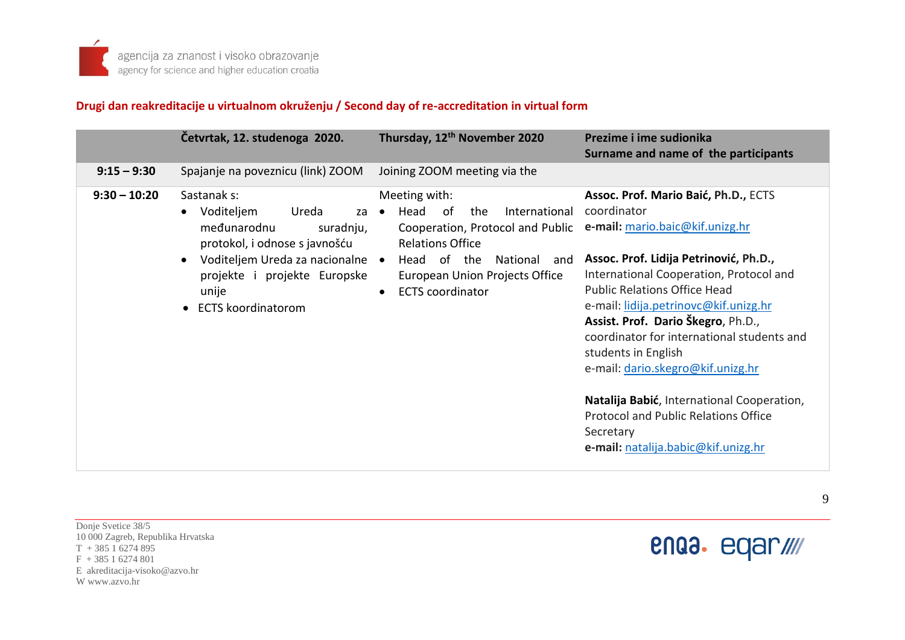# **Drugi dan reakreditacije u virtualnom okruženju / Second day of re-accreditation in virtual form**

|                | Četvrtak, 12. studenoga 2020.                                                                                  | Thursday, 12 <sup>th</sup> November 2020                                                                                        | Prezime i ime sudionika<br>Surname and name of the participants                                                                                                                                                                                                                                                   |
|----------------|----------------------------------------------------------------------------------------------------------------|---------------------------------------------------------------------------------------------------------------------------------|-------------------------------------------------------------------------------------------------------------------------------------------------------------------------------------------------------------------------------------------------------------------------------------------------------------------|
| $9:15 - 9:30$  | Spajanje na poveznicu (link) ZOOM                                                                              | Joining ZOOM meeting via the                                                                                                    |                                                                                                                                                                                                                                                                                                                   |
| $9:30 - 10:20$ | Sastanak s:<br>Voditeljem<br>Ureda<br>za<br>međunarodnu<br>suradnju,<br>protokol, i odnose s javnošću          | Meeting with:<br>0f<br>the<br>International<br>Head<br>$\bullet$<br>Cooperation, Protocol and Public<br><b>Relations Office</b> | Assoc. Prof. Mario Baić, Ph.D., ECTS<br>coordinator<br>e-mail: mario.baic@kif.unizg.hr                                                                                                                                                                                                                            |
|                | Voditeljem Ureda za nacionalne •<br>$\bullet$<br>projekte i projekte Europske<br>unije<br>• ECTS koordinatorom | Head of the<br>National<br>and<br><b>European Union Projects Office</b><br><b>ECTS</b> coordinator<br>$\bullet$                 | Assoc. Prof. Lidija Petrinović, Ph.D.,<br>International Cooperation, Protocol and<br><b>Public Relations Office Head</b><br>e-mail: lidija.petrinovc@kif.unizg.hr<br>Assist. Prof. Dario Škegro, Ph.D.,<br>coordinator for international students and<br>students in English<br>e-mail: dario.skegro@kif.unizg.hr |
|                |                                                                                                                |                                                                                                                                 | Natalija Babić, International Cooperation,<br><b>Protocol and Public Relations Office</b><br>Secretary<br>e-mail: natalija.babic@kif.unizg.hr                                                                                                                                                                     |

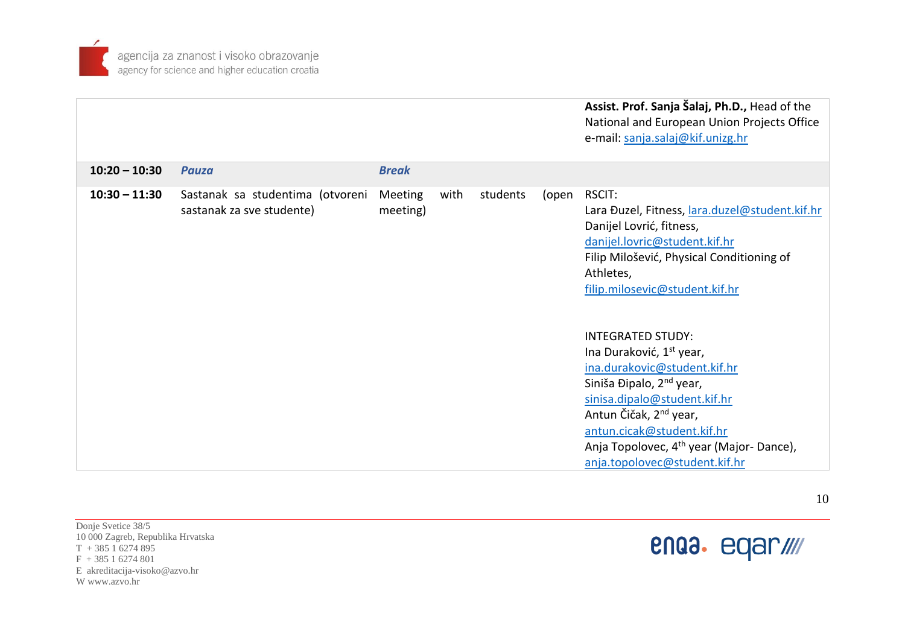

| Assist. Prof. Sanja Šalaj, Ph.D., Head of the |
|-----------------------------------------------|
| National and European Union Projects Office   |
| e-mail: sanja.salaj@kif.unizg.hr              |

| $10:20 - 10:30$ | <b>Pauza</b>                     | <b>Break</b> |      |          |       |                                                     |
|-----------------|----------------------------------|--------------|------|----------|-------|-----------------------------------------------------|
| $10:30 - 11:30$ | Sastanak sa studentima (otvoreni | Meeting      | with | students | (open | RSCIT:                                              |
|                 | sastanak za sve studente)        | meeting)     |      |          |       | Lara Đuzel, Fitness, lara.duzel@student.kif.hr      |
|                 |                                  |              |      |          |       | Danijel Lovrić, fitness,                            |
|                 |                                  |              |      |          |       | danijel.lovric@student.kif.hr                       |
|                 |                                  |              |      |          |       | Filip Milošević, Physical Conditioning of           |
|                 |                                  |              |      |          |       | Athletes,                                           |
|                 |                                  |              |      |          |       | filip.milosevic@student.kif.hr                      |
|                 |                                  |              |      |          |       |                                                     |
|                 |                                  |              |      |          |       |                                                     |
|                 |                                  |              |      |          |       | <b>INTEGRATED STUDY:</b>                            |
|                 |                                  |              |      |          |       | Ina Duraković, 1 <sup>st</sup> year,                |
|                 |                                  |              |      |          |       | ina.durakovic@student.kif.hr                        |
|                 |                                  |              |      |          |       | Siniša Đipalo, 2 <sup>nd</sup> year,                |
|                 |                                  |              |      |          |       | sinisa.dipalo@student.kif.hr                        |
|                 |                                  |              |      |          |       | Antun Čičak, 2 <sup>nd</sup> year,                  |
|                 |                                  |              |      |          |       | antun.cicak@student.kif.hr                          |
|                 |                                  |              |      |          |       | Anja Topolovec, 4 <sup>th</sup> year (Major-Dance), |
|                 |                                  |              |      |          |       | anja.topolovec@student.kif.hr                       |

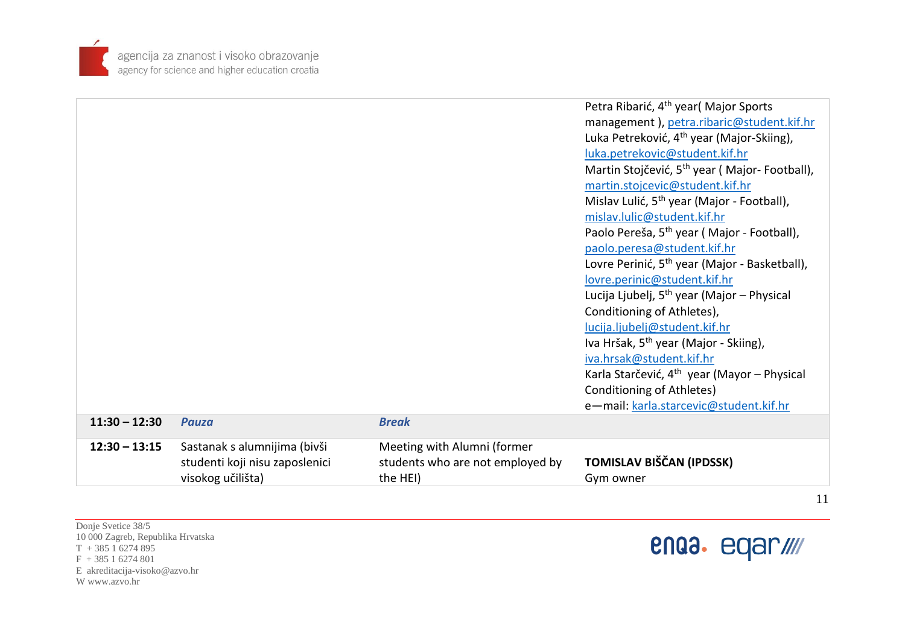

|                 |                                |                                  | Petra Ribarić, 4 <sup>th</sup> year( Major Sports         |
|-----------------|--------------------------------|----------------------------------|-----------------------------------------------------------|
|                 |                                |                                  | management), petra.ribaric@student.kif.hr                 |
|                 |                                |                                  | Luka Petreković, 4 <sup>th</sup> year (Major-Skiing),     |
|                 |                                |                                  | luka.petrekovic@student.kif.hr                            |
|                 |                                |                                  | Martin Stojčević, 5 <sup>th</sup> year (Major-Football),  |
|                 |                                |                                  | martin.stojcevic@student.kif.hr                           |
|                 |                                |                                  | Mislav Lulić, 5 <sup>th</sup> year (Major - Football),    |
|                 |                                |                                  | mislav.lulic@student.kif.hr                               |
|                 |                                |                                  | Paolo Pereša, 5 <sup>th</sup> year (Major - Football),    |
|                 |                                |                                  | paolo.peresa@student.kif.hr                               |
|                 |                                |                                  | Lovre Perinić, 5 <sup>th</sup> year (Major - Basketball), |
|                 |                                |                                  | lovre.perinic@student.kif.hr                              |
|                 |                                |                                  | Lucija Ljubelj, 5 <sup>th</sup> year (Major – Physical    |
|                 |                                |                                  | Conditioning of Athletes),                                |
|                 |                                |                                  | lucija.ljubelj@student.kif.hr                             |
|                 |                                |                                  | Iva Hršak, 5 <sup>th</sup> year (Major - Skiing),         |
|                 |                                |                                  | iva.hrsak@student.kif.hr                                  |
|                 |                                |                                  | Karla Starčević, 4 <sup>th</sup> year (Mayor – Physical   |
|                 |                                |                                  | Conditioning of Athletes)                                 |
|                 |                                |                                  | e-mail: karla.starcevic@student.kif.hr                    |
| $11:30 - 12:30$ | <b>Pauza</b>                   | <b>Break</b>                     |                                                           |
| $12:30 - 13:15$ | Sastanak s alumnijima (bivši   | Meeting with Alumni (former      |                                                           |
|                 | studenti koji nisu zaposlenici | students who are not employed by | TOMISLAV BIŠČAN (IPDSSK)                                  |
|                 | visokog učilišta)              | the HEI)                         | Gym owner                                                 |
|                 |                                |                                  |                                                           |

Donje Svetice 38/5 10 000 Zagreb, Republika Hrvatska  $T + 38516274895$  $F + 38516274801$ E akreditacija-visoko@azvo.hr W www.azvo.hr



11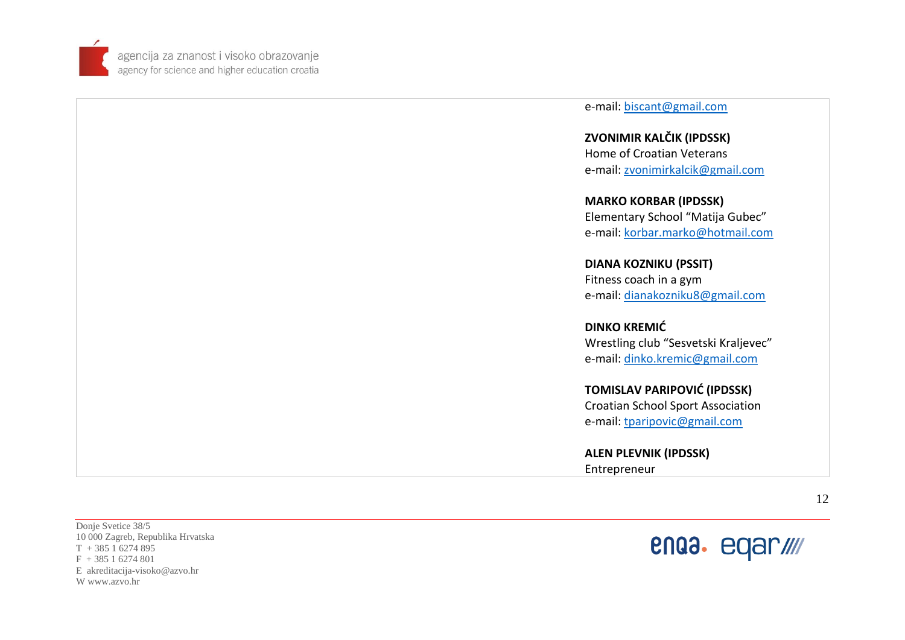

e-mail: <u>biscant@gmail.com</u>

**ZVONIMIR KALČIK (IPDSSK)** Home of Croatian Veterans e-mail: [zvonimirkalcik@gmail.com](mailto:zvonimirkalcik@gmail.com)

**MARKO KORBAR (IPDSSK)** Elementary School "Matija Gubec" e-mail: [korbar.marko@hotmail.com](mailto:korbar.marko@hotmail.com)

**DIANA KOZNIKU (PSSIT )** Fitness coach in a gym e-mail: [dianakozniku8@gmail.com](mailto:dianakozniku8@gmail.com)

**DINKO KREMIĆ** Wrestling club "Sesvetski Kraljevec" e-mail: [dinko.kremic@gmail.com](mailto:dinko.kremic@gmail.com)

**TOMISLAV PARIPOVIĆ (IPDSSK)** Croati[an School Sport Associati](mailto:tparipovic@gmail.com)on e-mail: [tparipovic@gmail.com](mailto:tparipovic@gmail.com)

**ALEN PLEVNIK (IPDSSK)** Entrepreneur

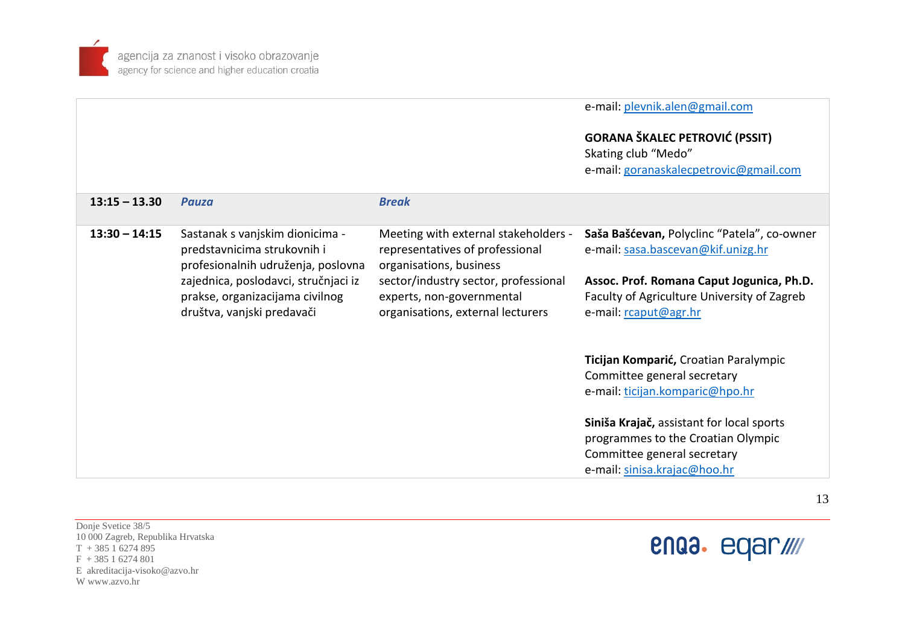e-mail: [plevnik.alen@gmail.com](mailto:plevnik.alen@gmail.com)

# **GORANA ŠKALEC PETROVIĆ (PSSIT)**

Skating club "Medo" e-mail: [goranaskalecpetrovic@gmail.com](mailto:goranaskalecpetrovic@gmail.com)

| $13:15 - 13.30$ | Pauza                                                                                                 | <b>Break</b>                                                                                           |                                                                                                                                                |
|-----------------|-------------------------------------------------------------------------------------------------------|--------------------------------------------------------------------------------------------------------|------------------------------------------------------------------------------------------------------------------------------------------------|
| $13:30 - 14:15$ | Sastanak s vanjskim dionicima -<br>predstavnicima strukovnih i<br>profesionalnih udruženja, poslovna  | Meeting with external stakeholders -<br>representatives of professional<br>organisations, business     | Saša Bašćevan, Polyclinc "Patela", co-owner<br>e-mail: sasa.bascevan@kif.unizg.hr                                                              |
|                 | zajednica, poslodavci, stručnjaci iz<br>prakse, organizacijama civilnog<br>društva, vanjski predavači | sector/industry sector, professional<br>experts, non-governmental<br>organisations, external lecturers | Assoc. Prof. Romana Caput Jogunica, Ph.D.<br>Faculty of Agriculture University of Zagreb<br>e-mail: rcaput@agr.hr                              |
|                 |                                                                                                       |                                                                                                        | Ticijan Komparić, Croatian Paralympic<br>Committee general secretary<br>e-mail: ticijan.komparic@hpo.hr                                        |
|                 |                                                                                                       |                                                                                                        | Siniša Krajač, assistant for local sports<br>programmes to the Croatian Olympic<br>Committee general secretary<br>e-mail: sinisa.krajac@hoo.hr |

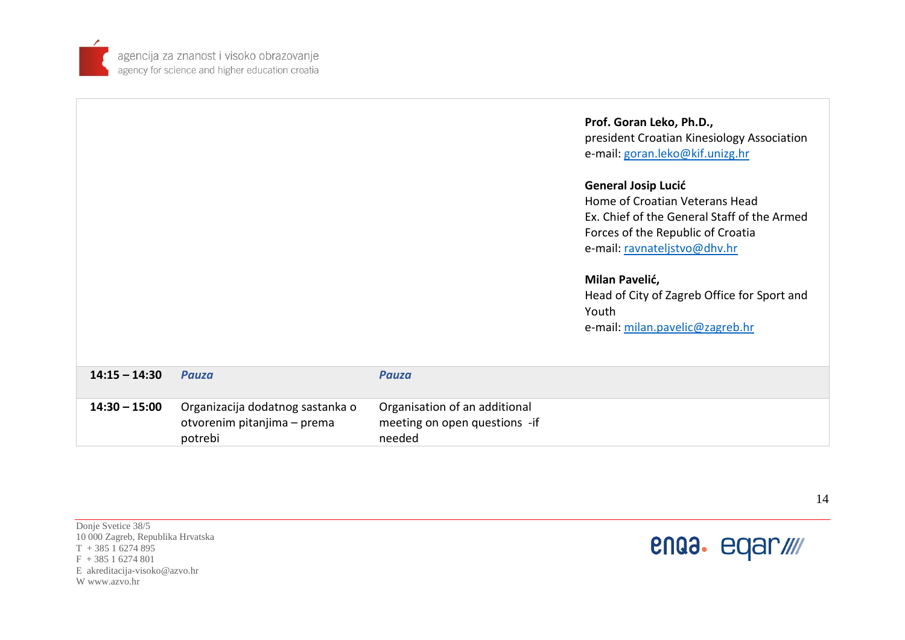

|                 |                                                                            |                                                                          | Prof. Goran Leko, Ph.D.,<br>president Croatian Kinesiology Association<br>e-mail: goran.leko@kif.unizg.hr<br><b>General Josip Lucić</b><br>Home of Croatian Veterans Head<br>Ex. Chief of the General Staff of the Armed<br>Forces of the Republic of Croatia<br>e-mail: ravnateljstvo@dhv.hr<br>Milan Pavelić,<br>Head of City of Zagreb Office for Sport and<br>Youth<br>e-mail: milan.pavelic@zagreb.hr |
|-----------------|----------------------------------------------------------------------------|--------------------------------------------------------------------------|------------------------------------------------------------------------------------------------------------------------------------------------------------------------------------------------------------------------------------------------------------------------------------------------------------------------------------------------------------------------------------------------------------|
| $14:15 - 14:30$ | <b>Pauza</b>                                                               | <b>Pauza</b>                                                             |                                                                                                                                                                                                                                                                                                                                                                                                            |
| $14:30 - 15:00$ | Organizacija dodatnog sastanka o<br>otvorenim pitanjima – prema<br>potrebi | Organisation of an additional<br>meeting on open questions -if<br>needed |                                                                                                                                                                                                                                                                                                                                                                                                            |

Donje Svetice 38/5 10 000 Zagreb, Republika Hrvatska  $T + 38516274895$  $F + 38516274801$ E akreditacija-visoko@azvo.hr W www.azvo.hr



14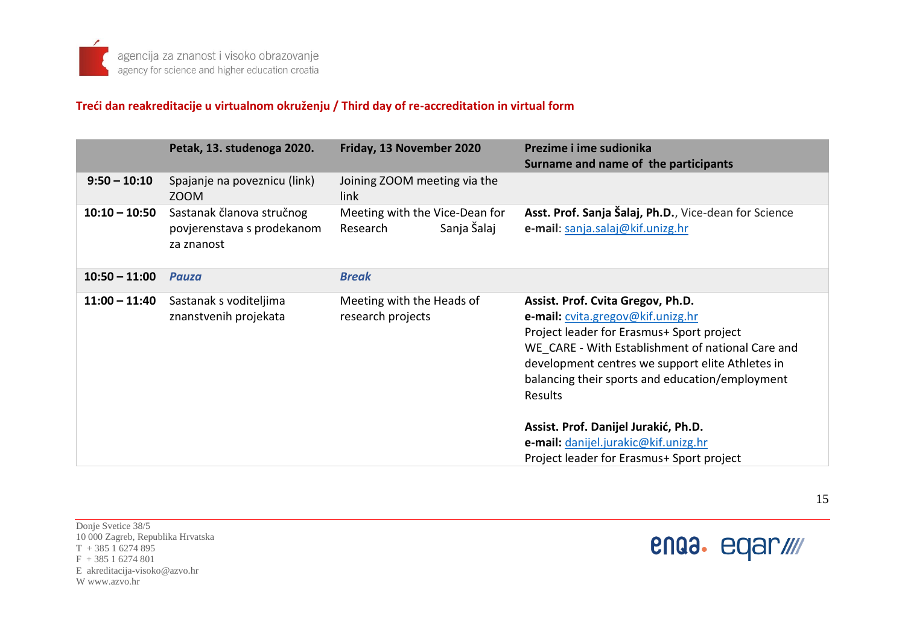### **Treći dan reakreditacije u virtualnom okruženju / Third day of re-accreditation in virtual form**

|                 | Petak, 13. studenoga 2020.                                            | Friday, 13 November 2020                                  | Prezime i ime sudionika<br>Surname and name of the participants                                                                                                                                                                                                                            |
|-----------------|-----------------------------------------------------------------------|-----------------------------------------------------------|--------------------------------------------------------------------------------------------------------------------------------------------------------------------------------------------------------------------------------------------------------------------------------------------|
| $9:50 - 10:10$  | Spajanje na poveznicu (link)<br>ZOOM                                  | Joining ZOOM meeting via the<br>link                      |                                                                                                                                                                                                                                                                                            |
| $10:10 - 10:50$ | Sastanak članova stručnog<br>povjerenstava s prodekanom<br>za znanost | Meeting with the Vice-Dean for<br>Sanja Šalaj<br>Research | Asst. Prof. Sanja Šalaj, Ph.D., Vice-dean for Science<br>e-mail: sanja.salaj@kif.unizg.hr                                                                                                                                                                                                  |
| $10:50 - 11:00$ | Pauza                                                                 | <b>Break</b>                                              |                                                                                                                                                                                                                                                                                            |
| $11:00 - 11:40$ | Sastanak s voditeljima<br>znanstvenih projekata                       | Meeting with the Heads of<br>research projects            | Assist. Prof. Cvita Gregov, Ph.D.<br>e-mail: cvita.gregov@kif.unizg.hr<br>Project leader for Erasmus+ Sport project<br>WE CARE - With Establishment of national Care and<br>development centres we support elite Athletes in<br>balancing their sports and education/employment<br>Results |
|                 |                                                                       |                                                           | Assist. Prof. Danijel Jurakić, Ph.D.<br>e-mail: danijel.jurakic@kif.unizg.hr<br>Project leader for Erasmus+ Sport project                                                                                                                                                                  |

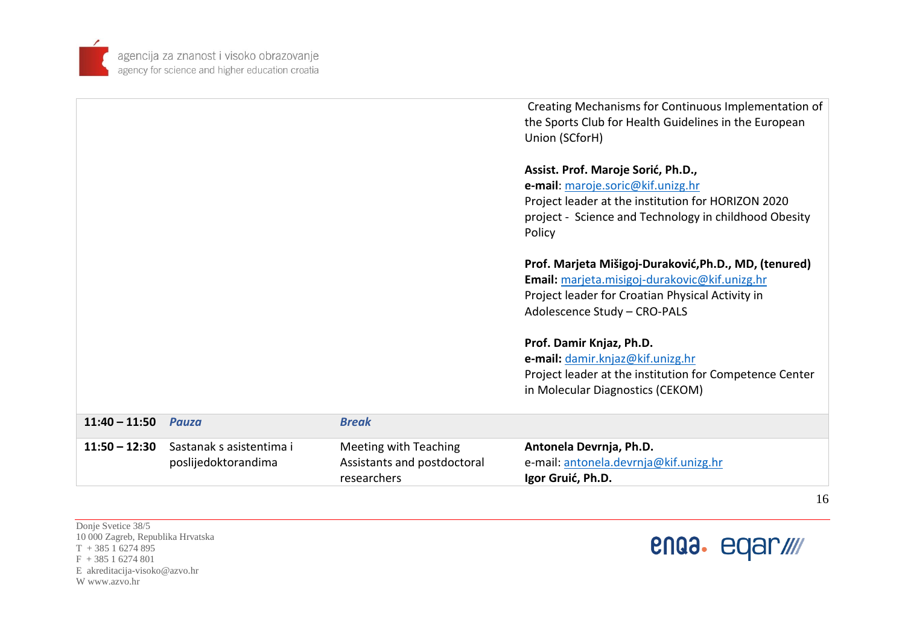

|                 |                                                 |                                                                            | Creating Mechanisms for Continuous Implementation of<br>the Sports Club for Health Guidelines in the European<br>Union (SCforH)                                                                  |
|-----------------|-------------------------------------------------|----------------------------------------------------------------------------|--------------------------------------------------------------------------------------------------------------------------------------------------------------------------------------------------|
|                 |                                                 |                                                                            | Assist. Prof. Maroje Sorić, Ph.D.,<br>e-mail: maroje.soric@kif.unizg.hr<br>Project leader at the institution for HORIZON 2020<br>project - Science and Technology in childhood Obesity<br>Policy |
|                 |                                                 |                                                                            | Prof. Marjeta Mišigoj-Duraković, Ph.D., MD, (tenured)<br>Email: marjeta.misigoj-durakovic@kif.unizg.hr<br>Project leader for Croatian Physical Activity in<br>Adolescence Study - CRO-PALS       |
|                 |                                                 |                                                                            | Prof. Damir Knjaz, Ph.D.<br>e-mail: damir.knjaz@kif.unizg.hr<br>Project leader at the institution for Competence Center<br>in Molecular Diagnostics (CEKOM)                                      |
| $11:40 - 11:50$ | Pauza                                           | <b>Break</b>                                                               |                                                                                                                                                                                                  |
| $11:50 - 12:30$ | Sastanak s asistentima i<br>poslijedoktorandima | <b>Meeting with Teaching</b><br>Assistants and postdoctoral<br>researchers | Antonela Devrnja, Ph.D.<br>e-mail: antonela.devrnja@kif.unizg.hr<br>Igor Gruić, Ph.D.                                                                                                            |

Donje Svetice 38/5 10 000 Zagreb, Republika Hrvatska  $T + 38516274895$  $F + 38516274801$ E akreditacija-visoko@azvo.hr W www.azvo.hr



16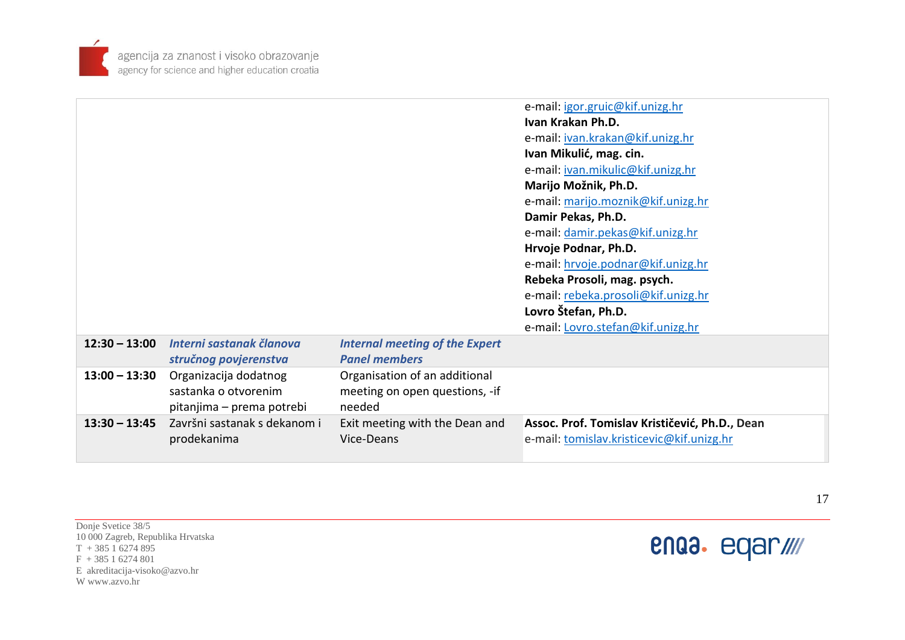

| $13:00 - 13:30$<br>Organizacija dodatnog<br>sastanka o otvorenim<br>pitanjima – prema potrebi | <b>Internal meeting of the Expert</b><br><b>Panel members</b><br>Organisation of an additional<br>meeting on open questions, -if<br>needed | e-mail: Lovro.stefan@kif.unizg.hr                                                                                                                                                                                                                                                                        |
|-----------------------------------------------------------------------------------------------|--------------------------------------------------------------------------------------------------------------------------------------------|----------------------------------------------------------------------------------------------------------------------------------------------------------------------------------------------------------------------------------------------------------------------------------------------------------|
|                                                                                               |                                                                                                                                            |                                                                                                                                                                                                                                                                                                          |
| Interni sastanak članova<br>$12:30 - 13:00$<br>stručnog povjerenstva                          |                                                                                                                                            |                                                                                                                                                                                                                                                                                                          |
|                                                                                               |                                                                                                                                            | e-mail: hrvoje.podnar@kif.unizg.hr<br>Rebeka Prosoli, mag. psych.<br>e-mail: rebeka.prosoli@kif.unizg.hr<br>Lovro Štefan, Ph.D.                                                                                                                                                                          |
|                                                                                               |                                                                                                                                            | e-mail: igor.gruic@kif.unizg.hr<br>Ivan Krakan Ph.D.<br>e-mail: jvan.krakan@kif.unizg.hr<br>Ivan Mikulić, mag. cin.<br>e-mail: jvan.mikulic@kif.unizg.hr<br>Marijo Možnik, Ph.D.<br>e-mail: marijo.moznik@kif.unizg.hr<br>Damir Pekas, Ph.D.<br>e-mail: damir.pekas@kif.unizg.hr<br>Hrvoje Podnar, Ph.D. |